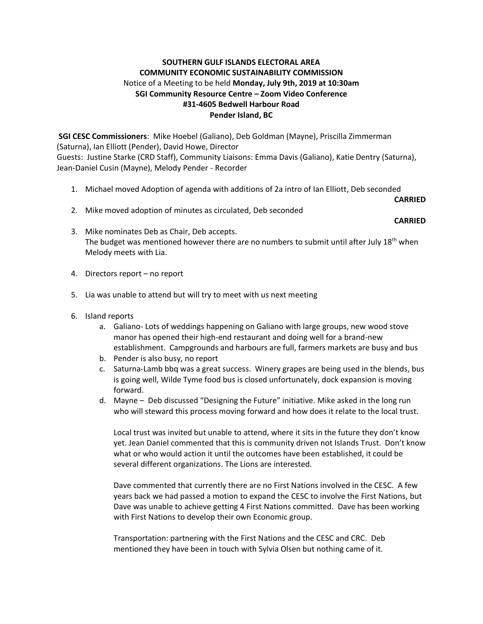## **SOUTHERN GULF ISLANDS ELECTORAL AREA COMMUNITY ECONOMIC SUSTAINABILITY COMMISSION** Notice of a Meeting to be held **Monday, July 9th, 2019 at 10:30am SGI Community Resource Centre – Zoom Video Conference #31-4605 Bedwell Harbour Road Pender Island, BC**

**SGI CESC Commissioners**: Mike Hoebel (Galiano), Deb Goldman (Mayne), Priscilla Zimmerman (Saturna), Ian Elliott (Pender), David Howe, Director Guests: Justine Starke (CRD Staff), Community Liaisons: Emma Davis (Galiano), Katie Dentry (Saturna), Jean-Daniel Cusin (Mayne), Melody Pender - Recorder

1. Michael moved Adoption of agenda with additions of 2a intro of Ian Elliott, Deb seconded

**CARRIED**

2. Mike moved adoption of minutes as circulated, Deb seconded

**CARRIED**

- 3. Mike nominates Deb as Chair, Deb accepts. The budget was mentioned however there are no numbers to submit until after July 18<sup>th</sup> when Melody meets with Lia.
- 4. Directors report no report
- 5. Lia was unable to attend but will try to meet with us next meeting
- 6. Island reports
	- a. Galiano- Lots of weddings happening on Galiano with large groups, new wood stove manor has opened their high-end restaurant and doing well for a brand-new establishment. Campgrounds and harbours are full, farmers markets are busy and bus
	- b. Pender is also busy, no report
	- c. Saturna-Lamb bbq was a great success. Winery grapes are being used in the blends, bus is going well, Wilde Tyme food bus is closed unfortunately, dock expansion is moving forward.
	- d. Mayne Deb discussed "Designing the Future" initiative. Mike asked in the long run who will steward this process moving forward and how does it relate to the local trust.

Local trust was invited but unable to attend, where it sits in the future they don't know yet. Jean Daniel commented that this is community driven not Islands Trust. Don't know what or who would action it until the outcomes have been established, it could be several different organizations. The Lions are interested.

Dave commented that currently there are no First Nations involved in the CESC. A few years back we had passed a motion to expand the CESC to involve the First Nations, but Dave was unable to achieve getting 4 First Nations committed. Dave has been working with First Nations to develop their own Economic group.

Transportation: partnering with the First Nations and the CESC and CRC. Deb mentioned they have been in touch with Sylvia Olsen but nothing came of it.